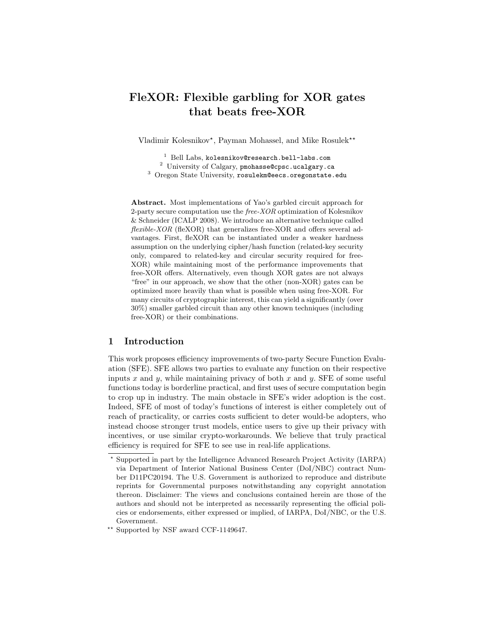# FleXOR: Flexible garbling for XOR gates that beats free-XOR

Vladimir Kolesnikov<sup>\*</sup>, Payman Mohassel, and Mike Rosulek<sup>\*\*</sup>

<sup>1</sup> Bell Labs, kolesnikov@research.bell-labs.com

<sup>2</sup> University of Calgary, pmohasse@cpsc.ucalgary.ca

<sup>3</sup> Oregon State University, rosulekm@eecs.oregonstate.edu

Abstract. Most implementations of Yao's garbled circuit approach for 2-party secure computation use the  $free-XOR$  optimization of Kolesnikov & Schneider (ICALP 2008). We introduce an alternative technique called flexible-XOR (fleXOR) that generalizes free-XOR and offers several advantages. First, fleXOR can be instantiated under a weaker hardness assumption on the underlying cipher/hash function (related-key security only, compared to related-key and circular security required for free-XOR) while maintaining most of the performance improvements that free-XOR offers. Alternatively, even though XOR gates are not always "free" in our approach, we show that the other (non-XOR) gates can be optimized more heavily than what is possible when using free-XOR. For many circuits of cryptographic interest, this can yield a significantly (over 30%) smaller garbled circuit than any other known techniques (including free-XOR) or their combinations.

## 1 Introduction

This work proposes efficiency improvements of two-party Secure Function Evaluation (SFE). SFE allows two parties to evaluate any function on their respective inputs  $x$  and  $y$ , while maintaining privacy of both  $x$  and  $y$ . SFE of some useful functions today is borderline practical, and first uses of secure computation begin to crop up in industry. The main obstacle in SFE's wider adoption is the cost. Indeed, SFE of most of today's functions of interest is either completely out of reach of practicality, or carries costs sufficient to deter would-be adopters, who instead choose stronger trust models, entice users to give up their privacy with incentives, or use similar crypto-workarounds. We believe that truly practical efficiency is required for SFE to see use in real-life applications.

<sup>?</sup> Supported in part by the Intelligence Advanced Research Project Activity (IARPA) via Department of Interior National Business Center (DoI/NBC) contract Number D11PC20194. The U.S. Government is authorized to reproduce and distribute reprints for Governmental purposes notwithstanding any copyright annotation thereon. Disclaimer: The views and conclusions contained herein are those of the authors and should not be interpreted as necessarily representing the official policies or endorsements, either expressed or implied, of IARPA, DoI/NBC, or the U.S. Government.

<sup>\*\*</sup> Supported by NSF award CCF-1149647.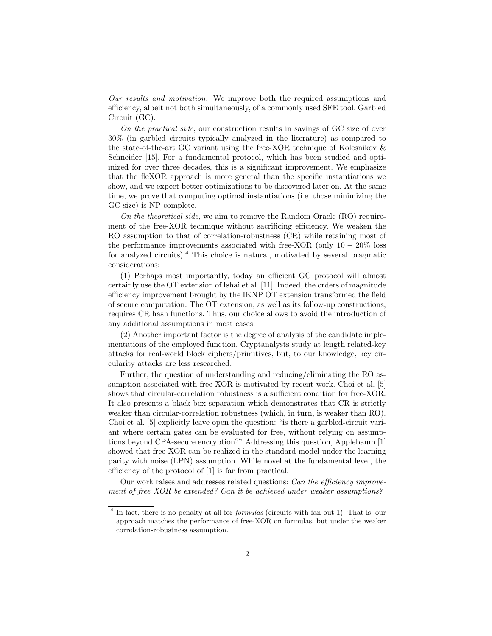Our results and motivation. We improve both the required assumptions and efficiency, albeit not both simultaneously, of a commonly used SFE tool, Garbled Circuit (GC).

On the practical side, our construction results in savings of GC size of over 30% (in garbled circuits typically analyzed in the literature) as compared to the state-of-the-art GC variant using the free-XOR technique of Kolesnikov & Schneider [15]. For a fundamental protocol, which has been studied and optimized for over three decades, this is a significant improvement. We emphasize that the fleXOR approach is more general than the specific instantiations we show, and we expect better optimizations to be discovered later on. At the same time, we prove that computing optimal instantiations (i.e. those minimizing the GC size) is NP-complete.

On the theoretical side, we aim to remove the Random Oracle (RO) requirement of the free-XOR technique without sacrificing efficiency. We weaken the RO assumption to that of correlation-robustness (CR) while retaining most of the performance improvements associated with free-XOR (only  $10-20\%$  loss for analyzed circuits).<sup>4</sup> This choice is natural, motivated by several pragmatic considerations:

(1) Perhaps most importantly, today an efficient GC protocol will almost certainly use the OT extension of Ishai et al. [11]. Indeed, the orders of magnitude efficiency improvement brought by the IKNP OT extension transformed the field of secure computation. The OT extension, as well as its follow-up constructions, requires CR hash functions. Thus, our choice allows to avoid the introduction of any additional assumptions in most cases.

(2) Another important factor is the degree of analysis of the candidate implementations of the employed function. Cryptanalysts study at length related-key attacks for real-world block ciphers/primitives, but, to our knowledge, key circularity attacks are less researched.

Further, the question of understanding and reducing/eliminating the RO assumption associated with free-XOR is motivated by recent work. Choi et al. [5] shows that circular-correlation robustness is a sufficient condition for free-XOR. It also presents a black-box separation which demonstrates that CR is strictly weaker than circular-correlation robustness (which, in turn, is weaker than RO). Choi et al. [5] explicitly leave open the question: "is there a garbled-circuit variant where certain gates can be evaluated for free, without relying on assumptions beyond CPA-secure encryption?" Addressing this question, Applebaum [1] showed that free-XOR can be realized in the standard model under the learning parity with noise (LPN) assumption. While novel at the fundamental level, the efficiency of the protocol of [1] is far from practical.

Our work raises and addresses related questions: Can the efficiency improvement of free XOR be extended? Can it be achieved under weaker assumptions?

<sup>&</sup>lt;sup>4</sup> In fact, there is no penalty at all for *formulas* (circuits with fan-out 1). That is, our approach matches the performance of free-XOR on formulas, but under the weaker correlation-robustness assumption.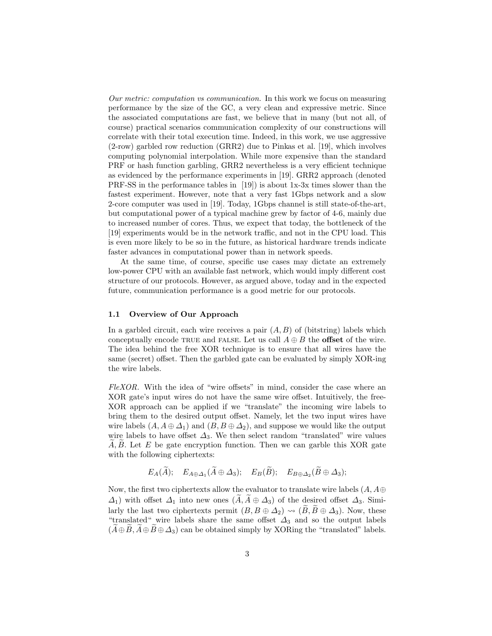Our metric: computation vs communication. In this work we focus on measuring performance by the size of the GC, a very clean and expressive metric. Since the associated computations are fast, we believe that in many (but not all, of course) practical scenarios communication complexity of our constructions will correlate with their total execution time. Indeed, in this work, we use aggressive (2-row) garbled row reduction (GRR2) due to Pinkas et al. [19], which involves computing polynomial interpolation. While more expensive than the standard PRF or hash function garbling, GRR2 nevertheless is a very efficient technique as evidenced by the performance experiments in [19]. GRR2 approach (denoted PRF-SS in the performance tables in [19]) is about 1x-3x times slower than the fastest experiment. However, note that a very fast 1Gbps network and a slow 2-core computer was used in [19]. Today, 1Gbps channel is still state-of-the-art, but computational power of a typical machine grew by factor of 4-6, mainly due to increased number of cores. Thus, we expect that today, the bottleneck of the [19] experiments would be in the network traffic, and not in the CPU load. This is even more likely to be so in the future, as historical hardware trends indicate faster advances in computational power than in network speeds.

At the same time, of course, specific use cases may dictate an extremely low-power CPU with an available fast network, which would imply different cost structure of our protocols. However, as argued above, today and in the expected future, communication performance is a good metric for our protocols.

## 1.1 Overview of Our Approach

In a garbled circuit, each wire receives a pair  $(A, B)$  of (bitstring) labels which conceptually encode TRUE and FALSE. Let us call  $A \oplus B$  the **offset** of the wire. The idea behind the free XOR technique is to ensure that all wires have the same (secret) offset. Then the garbled gate can be evaluated by simply XOR-ing the wire labels.

FleXOR. With the idea of "wire offsets" in mind, consider the case where an XOR gate's input wires do not have the same wire offset. Intuitively, the free-XOR approach can be applied if we "translate" the incoming wire labels to bring them to the desired output offset. Namely, let the two input wires have wire labels  $(A, A \oplus \Delta_1)$  and  $(B, B \oplus \Delta_2)$ , and suppose we would like the output wire labels to have offset  $\Delta_3$ . We then select random "translated" wire values  $A, B$ . Let E be gate encryption function. Then we can garble this XOR gate with the following ciphertexts:

$$
E_A(A)
$$
;  $E_{A\oplus \Delta_1}(A\oplus \Delta_3)$ ;  $E_B(B)$ ;  $E_{B\oplus \Delta_2}(B\oplus \Delta_3)$ ;

Now, the first two ciphertexts allow the evaluator to translate wire labels  $(A, A \oplus$  $\Delta_1$ ) with offset  $\Delta_1$  into new ones  $(\tilde{A}, \tilde{A} \oplus \Delta_3)$  of the desired offset  $\Delta_3$ . Similarly the last two ciphertexts permit  $(B, B \oplus \Delta_2) \rightsquigarrow (\widetilde{B}, \widetilde{B} \oplus \Delta_3)$ . Now, these "translated" wire labels share the same offset  $\Delta_3$  and so the output labels  $(A \oplus B, A \oplus B \oplus \Delta_3)$  can be obtained simply by XORing the "translated" labels.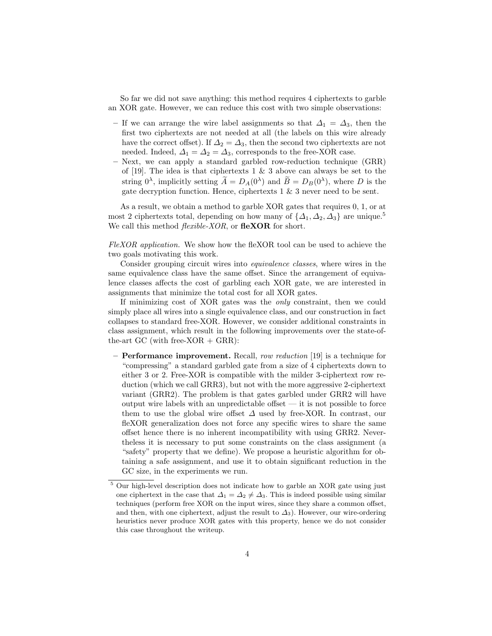So far we did not save anything: this method requires 4 ciphertexts to garble an XOR gate. However, we can reduce this cost with two simple observations:

- If we can arrange the wire label assignments so that  $\Delta_1 = \Delta_3$ , then the first two ciphertexts are not needed at all (the labels on this wire already have the correct offset). If  $\Delta_2 = \Delta_3$ , then the second two ciphertexts are not needed. Indeed,  $\Delta_1 = \Delta_2 = \Delta_3$ , corresponds to the free-XOR case.
- Next, we can apply a standard garbled row-reduction technique (GRR) of [19]. The idea is that ciphertexts 1  $\&$  3 above can always be set to the string  $0^{\lambda}$ , implicitly setting  $\tilde{A} = D_A(0^{\lambda})$  and  $\tilde{B} = D_B(0^{\lambda})$ , where D is the gate decryption function. Hence, ciphertexts 1 & 3 never need to be sent.

As a result, we obtain a method to garble XOR gates that requires 0, 1, or at most 2 ciphertexts total, depending on how many of  $\{\Delta_1, \Delta_2, \Delta_3\}$  are unique.<sup>5</sup> We call this method *flexible-XOR*, or **fleXOR** for short.

FleXOR application. We show how the fleXOR tool can be used to achieve the two goals motivating this work.

Consider grouping circuit wires into equivalence classes, where wires in the same equivalence class have the same offset. Since the arrangement of equivalence classes affects the cost of garbling each XOR gate, we are interested in assignments that minimize the total cost for all XOR gates.

If minimizing cost of XOR gates was the only constraint, then we could simply place all wires into a single equivalence class, and our construction in fact collapses to standard free-XOR. However, we consider additional constraints in class assignment, which result in the following improvements over the state-ofthe-art GC (with free-XOR  $+$  GRR):

– Performance improvement. Recall, row reduction [19] is a technique for "compressing" a standard garbled gate from a size of 4 ciphertexts down to either 3 or 2. Free-XOR is compatible with the milder 3-ciphertext row reduction (which we call GRR3), but not with the more aggressive 2-ciphertext variant (GRR2). The problem is that gates garbled under GRR2 will have output wire labels with an unpredictable offset  $-$  it is not possible to force them to use the global wire offset  $\Delta$  used by free-XOR. In contrast, our fleXOR generalization does not force any specific wires to share the same offset hence there is no inherent incompatibility with using GRR2. Nevertheless it is necessary to put some constraints on the class assignment (a "safety" property that we define). We propose a heuristic algorithm for obtaining a safe assignment, and use it to obtain significant reduction in the GC size, in the experiments we run.

 $^5$  Our high-level description does not indicate how to garble an XOR gate using just one ciphertext in the case that  $\Delta_1 = \Delta_2 \neq \Delta_3$ . This is indeed possible using similar techniques (perform free XOR on the input wires, since they share a common offset, and then, with one ciphertext, adjust the result to  $\Delta_3$ ). However, our wire-ordering heuristics never produce XOR gates with this property, hence we do not consider this case throughout the writeup.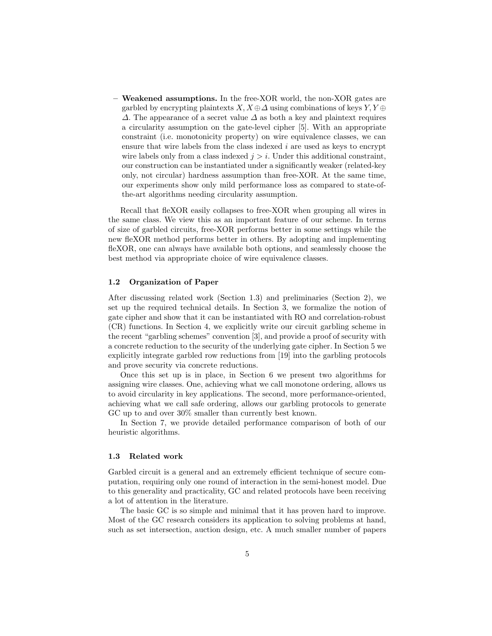– Weakened assumptions. In the free-XOR world, the non-XOR gates are garbled by encrypting plaintexts  $X, X \oplus \Delta$  using combinations of keys  $Y, Y \oplus$  $\Delta$ . The appearance of a secret value  $\Delta$  as both a key and plaintext requires a circularity assumption on the gate-level cipher [5]. With an appropriate constraint (i.e. monotonicity property) on wire equivalence classes, we can ensure that wire labels from the class indexed  $i$  are used as keys to encrypt wire labels only from a class indexed  $j > i$ . Under this additional constraint, our construction can be instantiated under a significantly weaker (related-key only, not circular) hardness assumption than free-XOR. At the same time, our experiments show only mild performance loss as compared to state-ofthe-art algorithms needing circularity assumption.

Recall that fleXOR easily collapses to free-XOR when grouping all wires in the same class. We view this as an important feature of our scheme. In terms of size of garbled circuits, free-XOR performs better in some settings while the new fleXOR method performs better in others. By adopting and implementing fleXOR, one can always have available both options, and seamlessly choose the best method via appropriate choice of wire equivalence classes.

## 1.2 Organization of Paper

After discussing related work (Section 1.3) and preliminaries (Section 2), we set up the required technical details. In Section 3, we formalize the notion of gate cipher and show that it can be instantiated with RO and correlation-robust (CR) functions. In Section 4, we explicitly write our circuit garbling scheme in the recent "garbling schemes" convention [3], and provide a proof of security with a concrete reduction to the security of the underlying gate cipher. In Section 5 we explicitly integrate garbled row reductions from [19] into the garbling protocols and prove security via concrete reductions.

Once this set up is in place, in Section 6 we present two algorithms for assigning wire classes. One, achieving what we call monotone ordering, allows us to avoid circularity in key applications. The second, more performance-oriented, achieving what we call safe ordering, allows our garbling protocols to generate GC up to and over 30% smaller than currently best known.

In Section 7, we provide detailed performance comparison of both of our heuristic algorithms.

## 1.3 Related work

Garbled circuit is a general and an extremely efficient technique of secure computation, requiring only one round of interaction in the semi-honest model. Due to this generality and practicality, GC and related protocols have been receiving a lot of attention in the literature.

The basic GC is so simple and minimal that it has proven hard to improve. Most of the GC research considers its application to solving problems at hand, such as set intersection, auction design, etc. A much smaller number of papers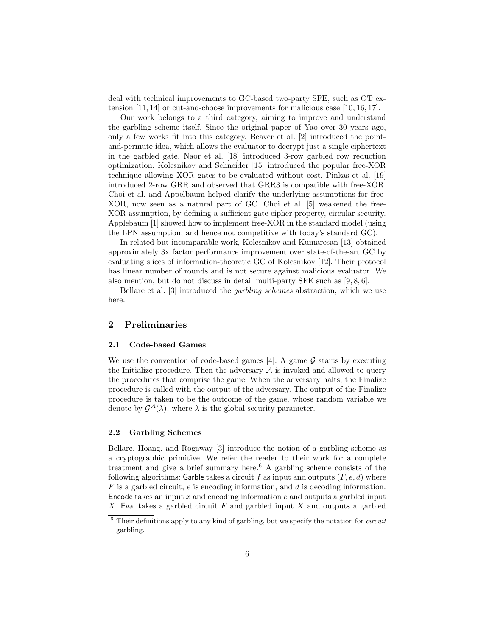deal with technical improvements to GC-based two-party SFE, such as OT extension [11, 14] or cut-and-choose improvements for malicious case [10, 16, 17].

Our work belongs to a third category, aiming to improve and understand the garbling scheme itself. Since the original paper of Yao over 30 years ago, only a few works fit into this category. Beaver et al. [2] introduced the pointand-permute idea, which allows the evaluator to decrypt just a single ciphertext in the garbled gate. Naor et al. [18] introduced 3-row garbled row reduction optimization. Kolesnikov and Schneider [15] introduced the popular free-XOR technique allowing XOR gates to be evaluated without cost. Pinkas et al. [19] introduced 2-row GRR and observed that GRR3 is compatible with free-XOR. Choi et al. and Appelbaum helped clarify the underlying assumptions for free-XOR, now seen as a natural part of GC. Choi et al. [5] weakened the free-XOR assumption, by defining a sufficient gate cipher property, circular security. Applebaum [1] showed how to implement free-XOR in the standard model (using the LPN assumption, and hence not competitive with today's standard GC).

In related but incomparable work, Kolesnikov and Kumaresan [13] obtained approximately 3x factor performance improvement over state-of-the-art GC by evaluating slices of information-theoretic GC of Kolesnikov [12]. Their protocol has linear number of rounds and is not secure against malicious evaluator. We also mention, but do not discuss in detail multi-party SFE such as [9, 8, 6].

Bellare et al. [3] introduced the garbling schemes abstraction, which we use here.

## 2 Preliminaries

#### 2.1 Code-based Games

We use the convention of code-based games [4]: A game  $\mathcal G$  starts by executing the Initialize procedure. Then the adversary  $A$  is invoked and allowed to query the procedures that comprise the game. When the adversary halts, the Finalize procedure is called with the output of the adversary. The output of the Finalize procedure is taken to be the outcome of the game, whose random variable we denote by  $\mathcal{G}^{\mathcal{A}}(\lambda)$ , where  $\lambda$  is the global security parameter.

#### 2.2 Garbling Schemes

Bellare, Hoang, and Rogaway [3] introduce the notion of a garbling scheme as a cryptographic primitive. We refer the reader to their work for a complete treatment and give a brief summary here.<sup>6</sup> A garbling scheme consists of the following algorithms: Garble takes a circuit f as input and outputs  $(F, e, d)$  where F is a garbled circuit, e is encoding information, and d is decoding information. Encode takes an input  $x$  and encoding information  $e$  and outputs a garbled input X. Eval takes a garbled circuit F and garbled input X and outputs a garbled

 $6$  Their definitions apply to any kind of garbling, but we specify the notation for *circuit* garbling.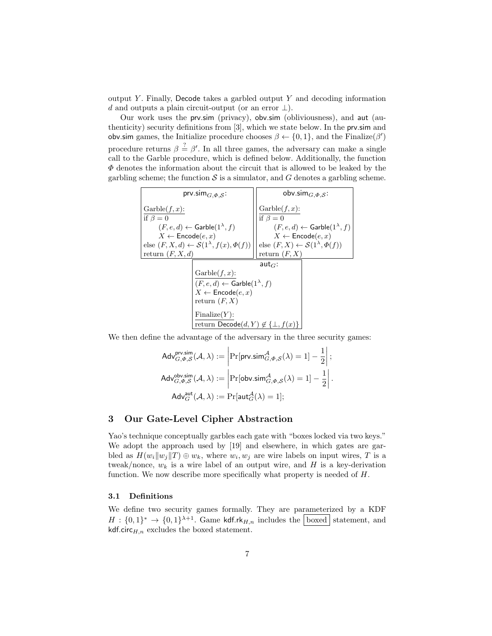output Y. Finally, Decode takes a garbled output  $Y$  and decoding information d and outputs a plain circuit-output (or an error  $\perp$ ).

Our work uses the prv.sim (privacy), obv.sim (obliviousness), and aut (authenticity) security definitions from [3], which we state below. In the prv.sim and obv.sim games, the Initialize procedure chooses  $\beta \leftarrow \{0, 1\}$ , and the Finalize $(\beta')$ procedure returns  $\beta \stackrel{?}{=} \beta'$ . In all three games, the adversary can make a single call to the Garble procedure, which is defined below. Additionally, the function  $\Phi$  denotes the information about the circuit that is allowed to be leaked by the garbling scheme; the function  $S$  is a simulator, and  $G$  denotes a garbling scheme.

| prv.sim $_{G,\Phi,\mathcal{S}}$ :                                                                     | obv.sim $_{G,\Phi,S}$ :                                                                      |  |  |  |
|-------------------------------------------------------------------------------------------------------|----------------------------------------------------------------------------------------------|--|--|--|
| $\text{Garble}(f, x)$ :<br>if $\beta = 0$                                                             | $\text{Garble}(f, x)$ :<br>if $\beta = 0$                                                    |  |  |  |
| $(F, e, d) \leftarrow$ Garble $(1^{\lambda}, f)$                                                      | $(F, e, d) \leftarrow$ Garble $(1^{\lambda}, f)$                                             |  |  |  |
| $X \leftarrow$ Encode $(e, x)$<br>else $(F, X, d) \leftarrow \mathcal{S}(1^{\lambda}, f(x), \Phi(f))$ | $X \leftarrow$ Encode $(e, x)$<br>else $(F, X) \leftarrow \mathcal{S}(1^{\lambda}, \Phi(f))$ |  |  |  |
| return $(F, X, d)$                                                                                    | return $(F, X)$                                                                              |  |  |  |
|                                                                                                       | aut $_G$ :                                                                                   |  |  |  |
| $\text{Garble}(f, x)$ :<br>$(F, e, d) \leftarrow$ Garble $(1^{\lambda}, f)$                           |                                                                                              |  |  |  |
| $X \leftarrow$ Encode $(e, x)$                                                                        |                                                                                              |  |  |  |
| return $(F, X)$                                                                                       |                                                                                              |  |  |  |
| Finally:                                                                                              |                                                                                              |  |  |  |
| return $\mathsf{Decode}(d, Y) \notin \{\bot, f(x)\}\$                                                 |                                                                                              |  |  |  |

We then define the advantage of the adversary in the three security games:

$$
\begin{aligned} \mathsf{Adv}_{G,\varPhi,\mathcal{S}}^{\mathsf{prv,sim}}(\mathcal{A},\lambda) := \left|\Pr[\mathsf{prv}.\mathsf{sim}_{G,\varPhi,\mathcal{S}}^{\mathcal{A}}(\lambda) = 1] - \frac{1}{2}\right|;\\ \mathsf{Adv}_{G,\varPhi,\mathcal{S}}^{\mathsf{obv,sim}}(\mathcal{A},\lambda) := \left|\Pr[\mathsf{obv}.\mathsf{sim}_{G,\varPhi,\mathcal{S}}^{\mathcal{A}}(\lambda) = 1] - \frac{1}{2}\right|.\\ \mathsf{Adv}_{G}^{\mathsf{aut}}(\mathcal{A},\lambda) := \Pr[\mathsf{aut}_{G}^{\mathcal{A}}(\lambda) = 1]; \end{aligned}
$$

## 3 Our Gate-Level Cipher Abstraction

Yao's technique conceptually garbles each gate with "boxes locked via two keys." We adopt the approach used by [19] and elsewhere, in which gates are garbled as  $H(w_i||w_j||T) \oplus w_k$ , where  $w_i, w_j$  are wire labels on input wires, T is a tweak/nonce,  $w_k$  is a wire label of an output wire, and H is a key-derivation function. We now describe more specifically what property is needed of  $H$ .

## 3.1 Definitions

We define two security games formally. They are parameterized by a KDF  $H: \{0,1\}^* \to \{0,1\}^{\lambda+1}$ . Game kdf.rk $_{H,n}$  includes the boxed statement, and kdf.circ $_{H,n}$  excludes the boxed statement.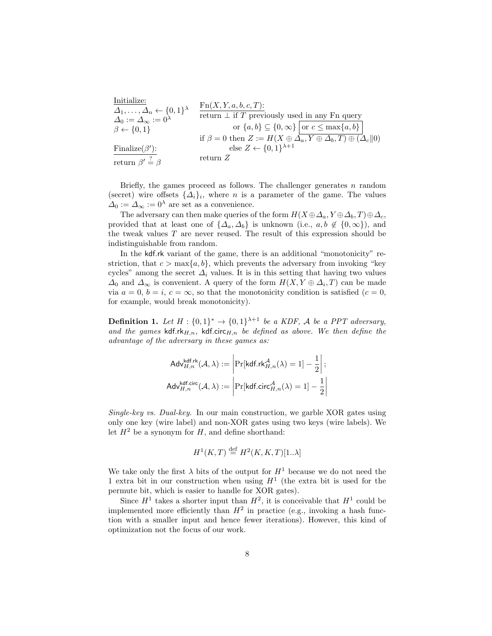Initialize: ∆1, . . . , ∆<sup>n</sup> ← {0, 1} λ ∆<sup>0</sup> := ∆<sup>∞</sup> := 0<sup>λ</sup> β ← {0, 1} Finalize(β 0 ): return β 0 ?= β Fn(X, Y, a, b, c, T): return ⊥ if T previously used in any Fn query or {a, b} ⊆ {0, ∞} or c ≤ max{a, b} if β = 0 then Z := H(X ⊕ ∆a, Y ⊕ ∆b, T) ⊕ (∆ck0) else Z ← {0, 1} λ+1 return Z

Briefly, the games proceed as follows. The challenger generates  $n$  random (secret) wire offsets  $\{\Delta_i\}_i$ , where n is a parameter of the game. The values  $\Delta_0 := \Delta_\infty := 0^\lambda$  are set as a convenience.

The adversary can then make queries of the form  $H(X \oplus \Delta_a, Y \oplus \Delta_b, T) \oplus \Delta_c$ , provided that at least one of  $\{\Delta_a, \Delta_b\}$  is unknown (i.e.,  $a, b \notin \{0, \infty\}$ ), and the tweak values  $T$  are never reused. The result of this expression should be indistinguishable from random.

In the kdf.rk variant of the game, there is an additional "monotonicity" restriction, that  $c > \max\{a, b\}$ , which prevents the adversary from invoking "key cycles" among the secret  $\Delta_i$  values. It is in this setting that having two values  $\Delta_0$  and  $\Delta_{\infty}$  is convenient. A query of the form  $H(X, Y \oplus \Delta_i, T)$  can be made via  $a = 0, b = i, c = \infty$ , so that the monotonicity condition is satisfied  $(c = 0,$ for example, would break monotonicity).

**Definition 1.** Let  $H: \{0,1\}^* \to \{0,1\}^{\lambda+1}$  be a KDF, A be a PPT adversary, and the games kdf.rk $H_{H,n}$ , kdf.circ $H_{n}$  be defined as above. We then define the advantage of the adversary in these games as:

$$
\mathsf{Adv}_{H,n}^{\mathsf{kdf},\mathsf{rk}}(\mathcal{A},\lambda) := \left| \Pr[\mathsf{kdf}.\mathsf{rk}_{H,n}^{\mathcal{A}}(\lambda) = 1] - \frac{1}{2} \right|;
$$
\n
$$
\mathsf{Adv}_{H,n}^{\mathsf{kdf},\mathsf{circ}}(\mathcal{A},\lambda) := \left| \Pr[\mathsf{kdf}.\mathsf{circ}_{H,n}^{\mathcal{A}}(\lambda) = 1] - \frac{1}{2} \right|
$$

Single-key vs. Dual-key. In our main construction, we garble XOR gates using only one key (wire label) and non-XOR gates using two keys (wire labels). We let  $H^2$  be a synonym for H, and define shorthand:

$$
H^1(K, T) \stackrel{\text{def}}{=} H^2(K, K, T)[1..\lambda]
$$

We take only the first  $\lambda$  bits of the output for  $H^1$  because we do not need the 1 extra bit in our construction when using  $H<sup>1</sup>$  (the extra bit is used for the permute bit, which is easier to handle for XOR gates).

Since  $H^1$  takes a shorter input than  $H^2$ , it is conceivable that  $H^1$  could be implemented more efficiently than  $H^2$  in practice (e.g., invoking a hash function with a smaller input and hence fewer iterations). However, this kind of optimization not the focus of our work.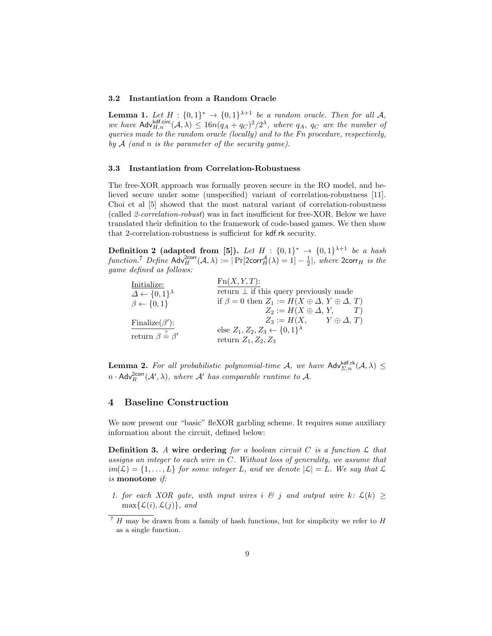#### 3.2 Instantiation from a Random Oracle

**Lemma 1.** Let  $H : \{0,1\}^* \to \{0,1\}^{\lambda+1}$  be a random oracle. Then for all A, we have  $\mathsf{Adv}_{H,n}^{\mathsf{kdf,circ}}(\mathcal{A},\lambda) \leq 16n(q_A+q_C)^2/2^{\lambda}$ , where  $q_A$ ,  $q_C$  are the number of queries made to the random oracle (locally) and to the Fn procedure, respectively, by  $A$  (and n is the parameter of the security game).

#### 3.3 Instantiation from Correlation-Robustness

The free-XOR approach was formally proven secure in the RO model, and believed secure under some (unspecified) variant of correlation-robustness [11]. Choi et al [5] showed that the most natural variant of correlation-robustness (called 2-correlation-robust) was in fact insufficient for free-XOR. Below we have translated their definition to the framework of code-based games. We then show that 2-correlation-robustness is sufficient for kdf.rk security.

Definition 2 (adapted from [5]). Let  $H : \{0,1\}^* \rightarrow \{0,1\}^{\lambda+1}$  be a hash function.<sup>7</sup> Define  $\mathsf{Adv}_{H}^{2\textsf{corr}}(\mathcal{A}, \lambda) := |\Pr[2\textsf{corr}_{H}^{\mathcal{A}}(\lambda) = 1] - \frac{1}{2}|\$ , where  $2\textsf{corr}_{H}$  is the game defined as follows:

| Initialize:<br>$\Delta \leftarrow \{0,1\}^{\lambda}$          | $Fn(X, Y, T)$ :<br>return $\perp$ if this query previously made                                                         |
|---------------------------------------------------------------|-------------------------------------------------------------------------------------------------------------------------|
| $\beta \leftarrow \{0, 1\}$                                   | if $\beta = 0$ then $Z_1 := H(X \oplus \Delta, Y \oplus \Delta, T)$<br>$Z_2 := H(X \oplus \Delta, Y, T)$                |
| Finalize( $\beta$ ):<br>return $\beta \stackrel{?}{=} \beta'$ | $Z_3 := H(X, \qquad Y \oplus \Delta, T)$<br>else $Z_1, Z_2, Z_3 \leftarrow \{0,1\}^{\lambda}$<br>return $Z_1, Z_2, Z_3$ |

**Lemma 2.** For all probabilistic polynomial-time A, we have  $\mathsf{Adv}_{\Sigma,n}^{\mathsf{kdf},\mathsf{rk}}(\mathcal{A},\lambda) \leq$  $n \cdot \mathsf{Adv}_R^{2corr}(\mathcal{A}',\lambda)$ , where  $\mathcal{A}'$  has comparable runtime to  $\mathcal{A}$ .

## 4 Baseline Construction

We now present our "basic" fleXOR garbling scheme. It requires some auxiliary information about the circuit, defined below:

**Definition 3.** A wire ordering for a boolean circuit C is a function  $\mathcal{L}$  that assigns an integer to each wire in C. Without loss of generality, we assume that  $im(\mathcal{L}) = \{1, \ldots, L\}$  for some integer L, and we denote  $|\mathcal{L}| = L$ . We say that  $\mathcal{L}$ is monotone if:

1. for each XOR gate, with input wires i  $\mathcal{B}$  j and output wire k:  $\mathcal{L}(k) \geq$  $\max\{\mathcal{L}(i), \mathcal{L}(i)\}\$ , and

 $7$  H may be drawn from a family of hash functions, but for simplicity we refer to H as a single function.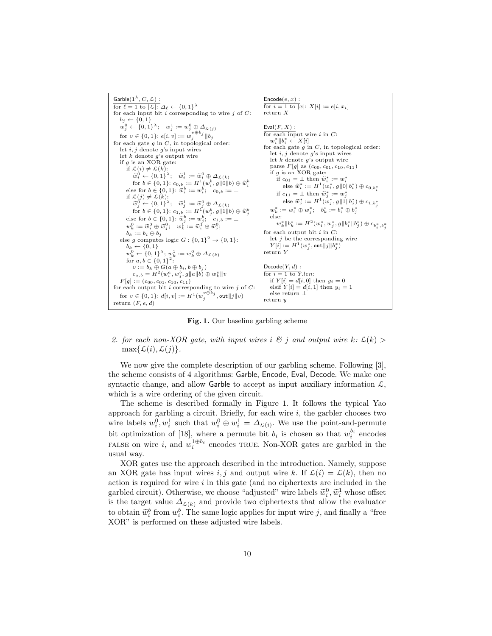

Fig. 1. Our baseline garbling scheme

2. for each non-XOR gate, with input wires i  $\mathcal{B}$  j and output wire k:  $\mathcal{L}(k)$  $\max\{\mathcal{L}(i), \mathcal{L}(j)\}.$ 

We now give the complete description of our garbling scheme. Following [3], the scheme consists of 4 algorithms: Garble, Encode, Eval, Decode. We make one syntactic change, and allow Garble to accept as input auxiliary information  $\mathcal{L},$ which is a wire ordering of the given circuit.

The scheme is described formally in Figure 1. It follows the typical Yao approach for garbling a circuit. Briefly, for each wire  $i$ , the garbler chooses two wire labels  $w_i^0, w_i^1$  such that  $w_i^0 \oplus w_i^1 = \Delta_{\mathcal{L}(i)}$ . We use the point-and-permute bit optimization of [18], where a permute bit  $b_i$  is chosen so that  $w_i^{b_i}$  encodes FALSE on wire *i*, and  $w_i^{1 \oplus b_i}$  encodes TRUE. Non-XOR gates are garbled in the usual way.

XOR gates use the approach described in the introduction. Namely, suppose an XOR gate has input wires i, j and output wire k. If  $\mathcal{L}(i) = \mathcal{L}(k)$ , then no action is required for wire  $i$  in this gate (and no ciphertexts are included in the garbled circuit). Otherwise, we choose "adjusted" wire labels  $\widetilde{w}_i^0$ ,  $\widetilde{w}_i^1$  whose offset<br>is the target value  $A_{\text{min}}$  and provide two ciphertexts that allow the evaluator is the target value  $\Delta_{\mathcal{L}(k)}$  and provide two ciphertexts that allow the evaluator to obtain  $\tilde{w}_i^b$  from  $w_i^b$ . The same logic applies for input wire j, and finally a "free<br>NOP" is performed on these editated wire labels XOR" is performed on these adjusted wire labels.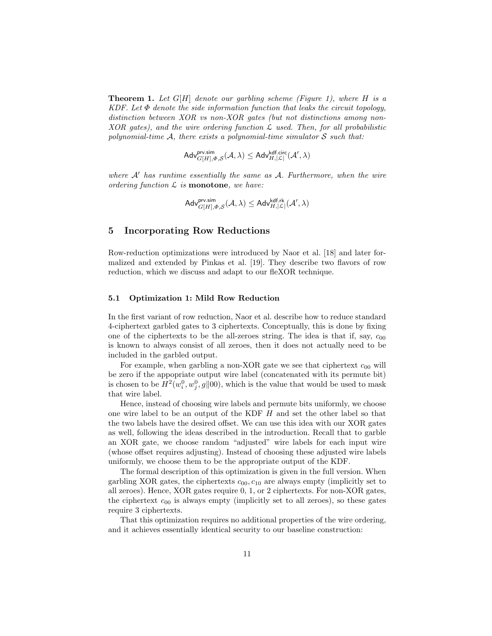**Theorem 1.** Let  $G[H]$  denote our garbling scheme (Figure 1), where H is a KDF. Let  $\Phi$  denote the side information function that leaks the circuit topology, distinction between XOR vs non-XOR gates (but not distinctions among non- $XOR$  gates), and the wire ordering function  $\mathcal L$  used. Then, for all probabilistic polynomial-time  $A$ , there exists a polynomial-time simulator  $S$  such that:

$$
\mathsf{Adv}_{G[H], \varPhi, \mathcal{S}}^{\mathsf{prv.sim}}(\mathcal{A}, \lambda) \leq \mathsf{Adv}_{H, |\mathcal{L}|}^{\mathsf{kdf.circ}}(\mathcal{A}', \lambda)
$$

where  $A'$  has runtime essentially the same as  $A$ . Furthermore, when the wire ordering function  $\mathcal L$  is **monotone**, we have:

$$
\mathsf{Adv}_{G[H], \varPhi, \mathcal{S}}^{\mathsf{prv.sim}}(\mathcal{A}, \lambda) \leq \mathsf{Adv}_{H, |\mathcal{L}|}^{\mathsf{kdf.rk}}(\mathcal{A}', \lambda)
$$

## 5 Incorporating Row Reductions

Row-reduction optimizations were introduced by Naor et al. [18] and later formalized and extended by Pinkas et al. [19]. They describe two flavors of row reduction, which we discuss and adapt to our fleXOR technique.

#### 5.1 Optimization 1: Mild Row Reduction

In the first variant of row reduction, Naor et al. describe how to reduce standard 4-ciphertext garbled gates to 3 ciphertexts. Conceptually, this is done by fixing one of the ciphertexts to be the all-zeroes string. The idea is that if, say,  $c_{00}$ is known to always consist of all zeroes, then it does not actually need to be included in the garbled output.

For example, when garbling a non-XOR gate we see that ciphertext  $c_{00}$  will be zero if the appopriate output wire label (concatenated with its permute bit) is chosen to be  $H^2(w_i^0, w_j^0, g||00)$ , which is the value that would be used to mask that wire label.

Hence, instead of choosing wire labels and permute bits uniformly, we choose one wire label to be an output of the KDF H and set the other label so that the two labels have the desired offset. We can use this idea with our XOR gates as well, following the ideas described in the introduction. Recall that to garble an XOR gate, we choose random "adjusted" wire labels for each input wire (whose offset requires adjusting). Instead of choosing these adjusted wire labels uniformly, we choose them to be the appropriate output of the KDF.

The formal description of this optimization is given in the full version. When garbling XOR gates, the ciphertexts  $c_{00}, c_{10}$  are always empty (implicitly set to all zeroes). Hence, XOR gates require 0, 1, or 2 ciphertexts. For non-XOR gates, the ciphertext  $c_{00}$  is always empty (implicitly set to all zeroes), so these gates require 3 ciphertexts.

That this optimization requires no additional properties of the wire ordering, and it achieves essentially identical security to our baseline construction: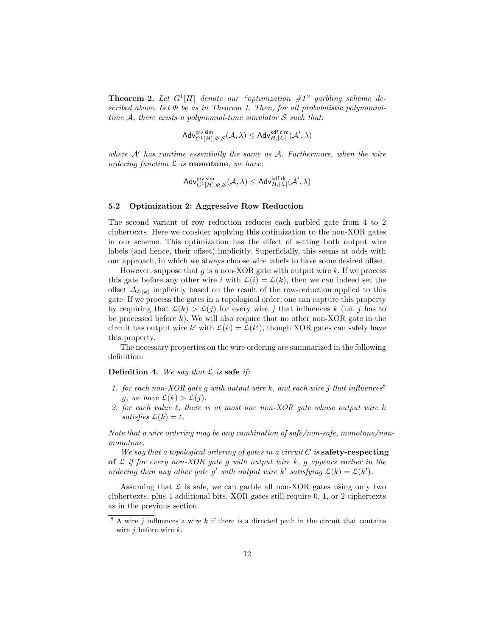**Theorem 2.** Let  $G^1[H]$  denote our "optimization  $\#1$ " garbling scheme described above. Let  $\Phi$  be as in Theorem 1. Then, for all probabilistic polynomialtime A, there exists a polynomial-time simulator  $S$  such that:

$$
\mathsf{Adv}_{G^1[H], \varPhi, \mathcal{S}}^{\mathsf{prv.sim}}(\mathcal{A}, \lambda) \leq \mathsf{Adv}_{H, |\mathcal{L}|}^{\mathsf{kdf.circ}}(\mathcal{A}', \lambda)
$$

where  $A'$  has runtime essentially the same as  $A$ . Furthermore, when the wire ordering function  $\mathcal L$  is **monotone**, we have:

$$
\mathsf{Adv}_{G^1[H], \varPhi, \mathcal{S}}^{\mathsf{prv.sim}}(\mathcal{A}, \lambda) \leq \mathsf{Adv}_{H, |\mathcal{L}|}^{\mathsf{kdf.rk}}(\mathcal{A}', \lambda)
$$

#### 5.2 Optimization 2: Aggressive Row Reduction

The second variant of row reduction reduces each garbled gate from 4 to 2 ciphertexts. Here we consider applying this optimization to the non-XOR gates in our scheme. This optimization has the effect of setting both output wire labels (and hence, their offset) implicitly. Superficially, this seems at odds with our approach, in which we always choose wire labels to have some desired offset.

However, suppose that  $q$  is a non-XOR gate with output wire  $k$ . If we process this gate before any other wire i with  $\mathcal{L}(i) = \mathcal{L}(k)$ , then we can indeed set the offset  $\Delta_{\mathcal{L}(k)}$  implicitly based on the result of the row-reduction applied to this gate. If we process the gates in a topological order, one can capture this property by requiring that  $\mathcal{L}(k) > \mathcal{L}(j)$  for every wire j that influences k (i.e. j has to be processed before  $k$ ). We will also require that no other non-XOR gate in the circuit has output wire k' with  $\mathcal{L}(k) = \mathcal{L}(k')$ , though XOR gates can safely have this property.

The necessary properties on the wire ordering are summarized in the following definition:

**Definition 4.** We say that  $\mathcal{L}$  is safe if:

- 1. for each non-XOR gate g with output wire k, and each wire j that influences<sup>8</sup> g, we have  $\mathcal{L}(k) > \mathcal{L}(j)$ .
- 2. for each value  $\ell$ , there is at most one non-XOR gate whose output wire k satisfies  $\mathcal{L}(k) = \ell$ .

Note that a wire ordering may be any combination of safe/non-safe, monotone/nonmonotone.

We say that a topological ordering of gates in a circuit  $C$  is safety-respecting of  $\mathcal L$  if for every non-XOR gate q with output wire k, q appears earlier in the ordering than any other gate g' with output wire k' satisfying  $\mathcal{L}(k) = \mathcal{L}(k')$ .

Assuming that  $\mathcal L$  is safe, we can garble all non-XOR gates using only two ciphertexts, plus 4 additional bits. XOR gates still require 0, 1, or 2 ciphertexts as in the previous section.

 $8 \text{ A wire } j$  influences a wire k if there is a directed path in the circuit that contains wire  $j$  before wire  $k$ .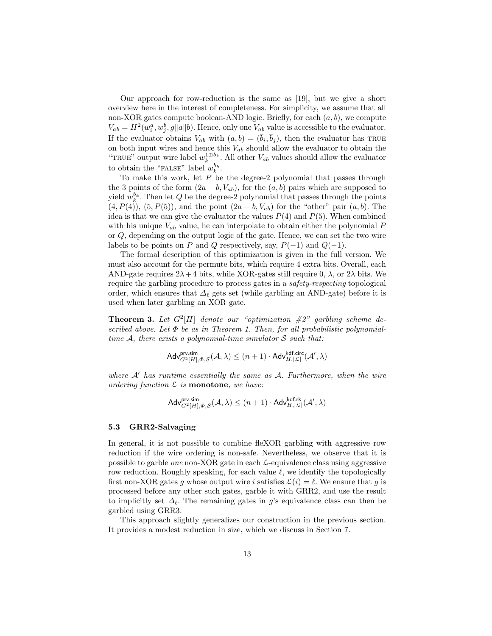Our approach for row-reduction is the same as [19], but we give a short overview here in the interest of completeness. For simplicity, we assume that all non-XOR gates compute boolean-AND logic. Briefly, for each  $(a, b)$ , we compute  $V_{ab} = H^2(w_i^a, w_j^b, g||a||b)$ . Hence, only one  $V_{ab}$  value is accessible to the evaluator. If the evaluator obtains  $V_{ab}$  with  $(a, b) = (\bar{b}_i, \bar{b}_j)$ , then the evaluator has TRUE on both input wires and hence this  $V_{ab}$  should allow the evaluator to obtain the "TRUE" output wire label  $w_k^{1 \oplus b_k}$ . All other  $V_{ab}$  values should allow the evaluator to obtain the "FALSE" label  $w_k^{b_k}$ .

To make this work, let  $P$  be the degree-2 polynomial that passes through the 3 points of the form  $(2a + b, V_{ab})$ , for the  $(a, b)$  pairs which are supposed to yield  $w_k^{b_k}$ . Then let Q be the degree-2 polynomial that passes through the points  $(4, P(4))$ ,  $(5, P(5))$ , and the point  $(2a + b, V_{ab})$  for the "other" pair  $(a, b)$ . The idea is that we can give the evaluator the values  $P(4)$  and  $P(5)$ . When combined with his unique  $V_{ab}$  value, he can interpolate to obtain either the polynomial P or Q, depending on the output logic of the gate. Hence, we can set the two wire labels to be points on P and Q respectively, say,  $P(-1)$  and  $Q(-1)$ .

The formal description of this optimization is given in the full version. We must also account for the permute bits, which require 4 extra bits. Overall, each AND-gate requires  $2\lambda + 4$  bits, while XOR-gates still require 0,  $\lambda$ , or  $2\lambda$  bits. We require the garbling procedure to process gates in a safety-respecting topological order, which ensures that  $\Delta_{\ell}$  gets set (while garbling an AND-gate) before it is used when later garbling an XOR gate.

**Theorem 3.** Let  $G^2[H]$  denote our "optimization  $\#2$ " garbling scheme described above. Let  $\Phi$  be as in Theorem 1. Then, for all probabilistic polynomialtime A, there exists a polynomial-time simulator  $S$  such that:

$$
\mathsf{Adv}_{G^2[H], \varPhi, \mathcal{S}}^{\mathsf{prv,sim}}(\mathcal{A}, \lambda) \leq (n+1) \cdot \mathsf{Adv}_{H, |\mathcal{L}|}^{\mathsf{kdf,circ}}(\mathcal{A}', \lambda)
$$

where  $A'$  has runtime essentially the same as  $A$ . Furthermore, when the wire ordering function  $\mathcal L$  is **monotone**, we have:

$$
\mathsf{Adv}_{G^2[H], \varPhi, \mathcal{S}}^{\mathsf{prv,sim}}(\mathcal{A}, \lambda) \leq (n+1) \cdot \mathsf{Adv}_{H, |\mathcal{L}|}^{\mathsf{kdf}, \mathsf{rk}}(\mathcal{A}', \lambda)
$$

## 5.3 GRR2-Salvaging

In general, it is not possible to combine fleXOR garbling with aggressive row reduction if the wire ordering is non-safe. Nevertheless, we observe that it is possible to garble *one* non-XOR gate in each  $\mathcal{L}$ -equivalence class using aggressive row reduction. Roughly speaking, for each value  $\ell$ , we identify the topologically first non-XOR gates g whose output wire i satisfies  $\mathcal{L}(i) = \ell$ . We ensure that g is processed before any other such gates, garble it with GRR2, and use the result to implicitly set  $\Delta_{\ell}$ . The remaining gates in g's equivalence class can then be garbled using GRR3.

This approach slightly generalizes our construction in the previous section. It provides a modest reduction in size, which we discuss in Section 7.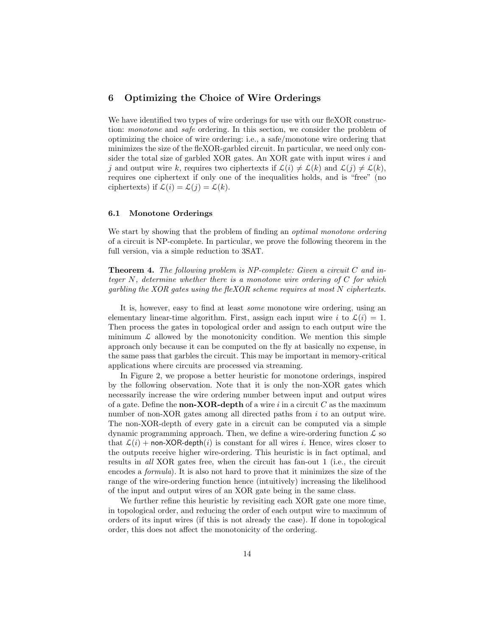## 6 Optimizing the Choice of Wire Orderings

We have identified two types of wire orderings for use with our fleXOR construction: monotone and safe ordering. In this section, we consider the problem of optimizing the choice of wire ordering: i.e., a safe/monotone wire ordering that minimizes the size of the fleXOR-garbled circuit. In particular, we need only consider the total size of garbled XOR gates. An XOR gate with input wires  $i$  and j and output wire k, requires two ciphertexts if  $\mathcal{L}(i) \neq \mathcal{L}(k)$  and  $\mathcal{L}(j) \neq \mathcal{L}(k)$ , requires one ciphertext if only one of the inequalities holds, and is "free" (no ciphertexts) if  $\mathcal{L}(i) = \mathcal{L}(j) = \mathcal{L}(k)$ .

#### 6.1 Monotone Orderings

We start by showing that the problem of finding an *optimal monotone ordering* of a circuit is NP-complete. In particular, we prove the following theorem in the full version, via a simple reduction to 3SAT.

**Theorem 4.** The following problem is NP-complete: Given a circuit  $C$  and integer  $N$ , determine whether there is a monotone wire ordering of  $C$  for which garbling the XOR gates using the fleXOR scheme requires at most N ciphertexts.

It is, however, easy to find at least some monotone wire ordering, using an elementary linear-time algorithm. First, assign each input wire i to  $\mathcal{L}(i) = 1$ . Then process the gates in topological order and assign to each output wire the minimum  $\mathcal L$  allowed by the monotonicity condition. We mention this simple approach only because it can be computed on the fly at basically no expense, in the same pass that garbles the circuit. This may be important in memory-critical applications where circuits are processed via streaming.

In Figure 2, we propose a better heuristic for monotone orderings, inspired by the following observation. Note that it is only the non-XOR gates which necessarily increase the wire ordering number between input and output wires of a gate. Define the **non-XOR-depth** of a wire i in a circuit C as the maximum number of non-XOR gates among all directed paths from i to an output wire. The non-XOR-depth of every gate in a circuit can be computed via a simple dynamic programming approach. Then, we define a wire-ordering function  $\mathcal L$  so that  $\mathcal{L}(i)$  + non-XOR-depth $(i)$  is constant for all wires i. Hence, wires closer to the outputs receive higher wire-ordering. This heuristic is in fact optimal, and results in all XOR gates free, when the circuit has fan-out 1 (i.e., the circuit encodes a formula). It is also not hard to prove that it minimizes the size of the range of the wire-ordering function hence (intuitively) increasing the likelihood of the input and output wires of an XOR gate being in the same class.

We further refine this heuristic by revisiting each XOR gate one more time, in topological order, and reducing the order of each output wire to maximum of orders of its input wires (if this is not already the case). If done in topological order, this does not affect the monotonicity of the ordering.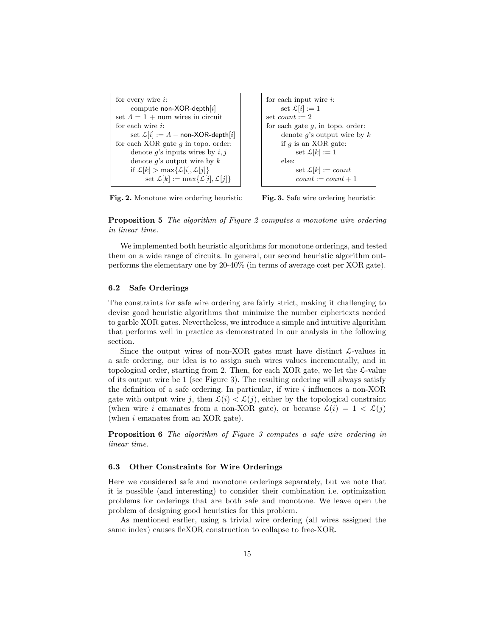```
for every wire i:
      compute non-XOR-depth[i]
set \Lambda = 1 + \text{num} wires in circuit
for each wire i:
      set \mathcal{L}[i] := \Lambda – non-XOR-depth[i]for each XOR gate q in topo. order:
      denote q's inputs wires by i, jdenote q's output wire by kif \mathcal{L}[k] > \max\{\mathcal{L}[i], \mathcal{L}[j]\}set \mathcal{L}[k] := \max\{\mathcal{L}[i], \mathcal{L}[j]\}
```

```
for each input wire i:
     set \mathcal{L}[i] := 1set count := 2for each gate g, in topo. order:
     denote g's output wire by kif q is an XOR gate:
          set \mathcal{L}[k] := 1else:
          set \mathcal{L}[k] := countcount := count + 1
```
Fig. 2. Monotone wire ordering heuristic

Fig. 3. Safe wire ordering heuristic

Proposition 5 The algorithm of Figure 2 computes a monotone wire ordering in linear time.

We implemented both heuristic algorithms for monotone orderings, and tested them on a wide range of circuits. In general, our second heuristic algorithm outperforms the elementary one by 20-40% (in terms of average cost per XOR gate).

## 6.2 Safe Orderings

The constraints for safe wire ordering are fairly strict, making it challenging to devise good heuristic algorithms that minimize the number ciphertexts needed to garble XOR gates. Nevertheless, we introduce a simple and intuitive algorithm that performs well in practice as demonstrated in our analysis in the following section.

Since the output wires of non-XOR gates must have distinct  $\mathcal{L}\text{-values}$  in a safe ordering, our idea is to assign such wires values incrementally, and in topological order, starting from 2. Then, for each XOR gate, we let the  $\mathcal{L}\text{-value}$ of its output wire be 1 (see Figure 3). The resulting ordering will always satisfy the definition of a safe ordering. In particular, if wire  $i$  influences a non-XOR gate with output wire j, then  $\mathcal{L}(i) < \mathcal{L}(j)$ , either by the topological constraint (when wire i emanates from a non-XOR gate), or because  $\mathcal{L}(i) = 1 < \mathcal{L}(i)$ (when i emanates from an XOR gate).

Proposition 6 The algorithm of Figure 3 computes a safe wire ordering in linear time.

## 6.3 Other Constraints for Wire Orderings

Here we considered safe and monotone orderings separately, but we note that it is possible (and interesting) to consider their combination i.e. optimization problems for orderings that are both safe and monotone. We leave open the problem of designing good heuristics for this problem.

As mentioned earlier, using a trivial wire ordering (all wires assigned the same index) causes fleXOR construction to collapse to free-XOR.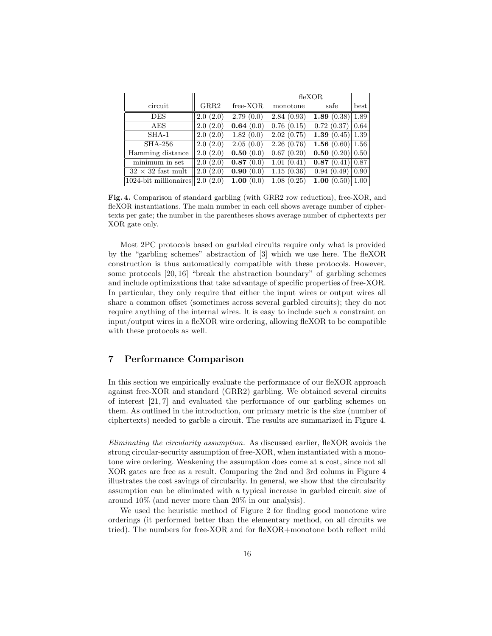|                          |                       | flexOR        |                          |                           |      |
|--------------------------|-----------------------|---------------|--------------------------|---------------------------|------|
| circuit                  | GRR2                  | free-XOR      | monotone                 | safe                      | best |
| DES                      | 2.0(2.0)              | 2.79(0.0)     | 2.84(0.93)               | 1.89 $(0.38)$             | 1.89 |
| AES                      | 2.0(2.0)              | 0.64(0.0)     | 0.76(0.15)               | 0.72(0.37)                | 0.64 |
| $SHA-1$                  | 2.0(2.0)              | 1.82(0.0)     | 2.02(0.75)               | 1.39 $(0.45)$             | 1.39 |
| <b>SHA-256</b>           | 2.0(2.0)              | 2.05(0.0)     | 2.26(0.76)               | 1.56 $(0.60)$             | 1.56 |
| Hamming distance         | 2.0(2.0)              | 0.50(0.0)     | 0.67(0.20)               | <b>0.50</b> $(0.20)$ 0.50 |      |
| minimum in set           | 2.0(2.0)              | 0.87(0.0)     | 1.01(0.41)               | 0.87(0.41)[0.87]          |      |
| $32 \times 32$ fast mult | $\overline{2.0(2.0)}$ | 0.90(0.0)     | $\overline{1.15}$ (0.36) | $\overline{0.94}$ (0.49)  | 0.90 |
| 1024-bit millionaires    | (2.0)<br>$2.0\,$      | 1.00<br>(0.0) | 1.08(0.25)               | 1.00 $(0.50)$             | 1.00 |

Fig. 4. Comparison of standard garbling (with GRR2 row reduction), free-XOR, and fleXOR instantiations. The main number in each cell shows average number of ciphertexts per gate; the number in the parentheses shows average number of ciphertexts per XOR gate only.

Most 2PC protocols based on garbled circuits require only what is provided by the "garbling schemes" abstraction of [3] which we use here. The fleXOR construction is thus automatically compatible with these protocols. However, some protocols [20, 16] "break the abstraction boundary" of garbling schemes and include optimizations that take advantage of specific properties of free-XOR. In particular, they only require that either the input wires or output wires all share a common offset (sometimes across several garbled circuits); they do not require anything of the internal wires. It is easy to include such a constraint on input/output wires in a fleXOR wire ordering, allowing fleXOR to be compatible with these protocols as well.

# 7 Performance Comparison

In this section we empirically evaluate the performance of our fleXOR approach against free-XOR and standard (GRR2) garbling. We obtained several circuits of interest [21, 7] and evaluated the performance of our garbling schemes on them. As outlined in the introduction, our primary metric is the size (number of ciphertexts) needed to garble a circuit. The results are summarized in Figure 4.

Eliminating the circularity assumption. As discussed earlier, fleXOR avoids the strong circular-security assumption of free-XOR, when instantiated with a monotone wire ordering. Weakening the assumption does come at a cost, since not all XOR gates are free as a result. Comparing the 2nd and 3rd colums in Figure 4 illustrates the cost savings of circularity. In general, we show that the circularity assumption can be eliminated with a typical increase in garbled circuit size of around 10% (and never more than 20% in our analysis).

We used the heuristic method of Figure 2 for finding good monotone wire orderings (it performed better than the elementary method, on all circuits we tried). The numbers for free-XOR and for fleXOR+monotone both reflect mild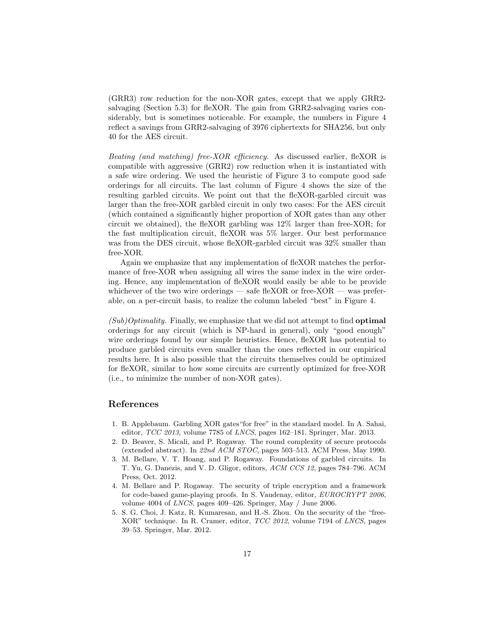(GRR3) row reduction for the non-XOR gates, except that we apply GRR2 salvaging (Section 5.3) for fleXOR. The gain from GRR2-salvaging varies considerably, but is sometimes noticeable. For example, the numbers in Figure 4 reflect a savings from GRR2-salvaging of 3976 ciphertexts for SHA256, but only 40 for the AES circuit.

Beating (and matching) free-XOR efficiency. As discussed earlier, fleXOR is compatible with aggressive (GRR2) row reduction when it is instantiated with a safe wire ordering. We used the heuristic of Figure 3 to compute good safe orderings for all circuits. The last column of Figure 4 shows the size of the resulting garbled circuits. We point out that the fleXOR-garbled circuit was larger than the free-XOR garbled circuit in only two cases: For the AES circuit (which contained a significantly higher proportion of XOR gates than any other circuit we obtained), the fleXOR garbling was 12% larger than free-XOR; for the fast multiplication circuit, fleXOR was 5% larger. Our best performance was from the DES circuit, whose fleXOR-garbled circuit was  $32\%$  smaller than free-XOR.

Again we emphasize that any implementation of fleXOR matches the performance of free-XOR when assigning all wires the same index in the wire ordering. Hence, any implementation of fleXOR would easily be able to be provide whichever of the two wire orderings — safe fleXOR or free-XOR — was preferable, on a per-circuit basis, to realize the column labeled "best" in Figure 4.

 $(Sub)Optimality$ . Finally, we emphasize that we did not attempt to find **optimal** orderings for any circuit (which is NP-hard in general), only "good enough" wire orderings found by our simple heuristics. Hence, fleXOR has potential to produce garbled circuits even smaller than the ones reflected in our empirical results here. It is also possible that the circuits themselves could be optimized for fleXOR, similar to how some circuits are currently optimized for free-XOR (i.e., to minimize the number of non-XOR gates).

## References

- 1. B. Applebaum. Garbling XOR gates"for free" in the standard model. In A. Sahai, editor, TCC 2013, volume 7785 of LNCS, pages 162–181. Springer, Mar. 2013.
- 2. D. Beaver, S. Micali, and P. Rogaway. The round complexity of secure protocols (extended abstract). In 22nd ACM STOC, pages 503–513. ACM Press, May 1990.
- 3. M. Bellare, V. T. Hoang, and P. Rogaway. Foundations of garbled circuits. In T. Yu, G. Danezis, and V. D. Gligor, editors, ACM CCS 12, pages 784–796. ACM Press, Oct. 2012.
- 4. M. Bellare and P. Rogaway. The security of triple encryption and a framework for code-based game-playing proofs. In S. Vaudenay, editor, EUROCRYPT 2006, volume 4004 of LNCS, pages 409–426. Springer, May / June 2006.
- 5. S. G. Choi, J. Katz, R. Kumaresan, and H.-S. Zhou. On the security of the "free-XOR" technique. In R. Cramer, editor, TCC 2012, volume 7194 of LNCS, pages 39–53. Springer, Mar. 2012.